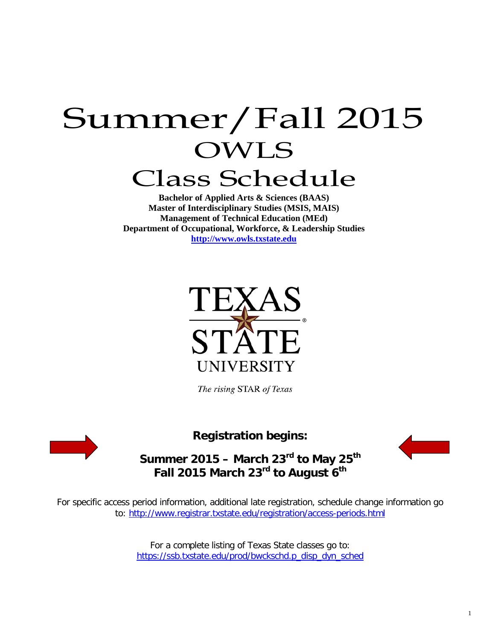# Summer/Fall 2015 OWLS Class Schedule

**Bachelor of Applied Arts & Sciences (BAAS) Master of Interdisciplinary Studies (MSIS, MAIS) Management of Technical Education (MEd) Department of Occupational, Workforce, & Leadership Studies [http://www.owls.txstate.edu](http://www.owls.txstate.edu/)**



The rising STAR of Texas



**Registration begins:**



**Summer 2015 – March 23rd to May 25th Fall 2015 March 23rd to August 6th**

For specific access period information, additional late registration, schedule change information go to:<http://www.registrar.txstate.edu/registration/access-periods.html>

> For a complete listing of Texas State classes go to: [https://ssb.txstate.edu/prod/bwckschd.p\\_disp\\_dyn\\_sched](https://ssb.txstate.edu/prod/bwckschd.p_disp_dyn_sched)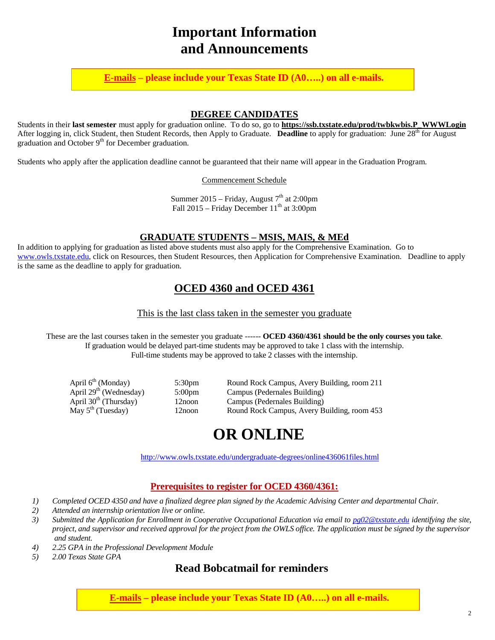# **Important Information and Announcements**

**E-mails – please include your Texas State ID (A0…..) on all e-mails.**

#### **DEGREE CANDIDATES**

Students in their **last semester** must apply for graduation online. To do so, go to **[https://ssb.txstate.edu/prod/twbkwbis.P\\_WWWLogin](https://ssb.txstate.edu/prod/twbkwbis.P_WWWLogin)** After logging in, click Student, then Student Records, then Apply to Graduate. **Deadline** to apply for graduation: June 28<sup>th</sup> for August graduation and October  $9<sup>th</sup>$  for December graduation.

Students who apply after the application deadline cannot be guaranteed that their name will appear in the Graduation Program.

Commencement Schedule

Summer 2015 – Friday, August  $7<sup>th</sup>$  at 2:00pm Fall  $2015$  – Friday December  $11<sup>th</sup>$  at  $3:00$ pm

#### **GRADUATE STUDENTS – MSIS, MAIS, & MEd**

In addition to applying for graduation as listed above students must also apply for the Comprehensive Examination. Go to [www.owls.txstate.edu,](http://www.owls.txstate.edu/) click on Resources, then Student Resources, then Application for Comprehensive Examination. Deadline to apply is the same as the deadline to apply for graduation.

## **OCED 4360 and OCED 4361**

This is the last class taken in the semester you graduate

These are the last courses taken in the semester you graduate ------ **OCED 4360/4361 should be the only courses you take**. If graduation would be delayed part-time students may be approved to take 1 class with the internship. Full-time students may be approved to take 2 classes with the internship.

| April 6 <sup>th</sup> (Monday)     | 5:30 <sub>pm</sub> | Round Rock Campus, Avery Building, room 211 |
|------------------------------------|--------------------|---------------------------------------------|
| April 29 <sup>th</sup> (Wednesday) | $5:00 \text{pm}$   | Campus (Pedernales Building)                |
| April 30 <sup>th</sup> (Thursday)  | 12noon             | Campus (Pedernales Building)                |
| May $5^{\text{th}}$ (Tuesday)      | 12noon             | Round Rock Campus, Avery Building, room 453 |

# **OR ONLINE**

<http://www.owls.txstate.edu/undergraduate-degrees/online436061files.html>

#### **Prerequisites to register for OCED 4360/4361:**

- *1) Completed OCED 4350 and have a finalized degree plan signed by the Academic Advising Center and departmental Chair.*
- *2) Attended an internship orientation live or online.*
- *3) Submitted the Application for Enrollment in Cooperative Occupational Education via email to [pg02@txstate.edu](mailto:pg02@txstate.edu) identifying the site, project, and supervisor and received approval for the project from the OWLS office. The application must be signed by the supervisor and student.*
- *4) 2.25 GPA in the Professional Development Module*
- *5) 2.00 Texas State GPA*

### **Read Bobcatmail for reminders**

**E-mails – please include your Texas State ID (A0…..) on all e-mails.**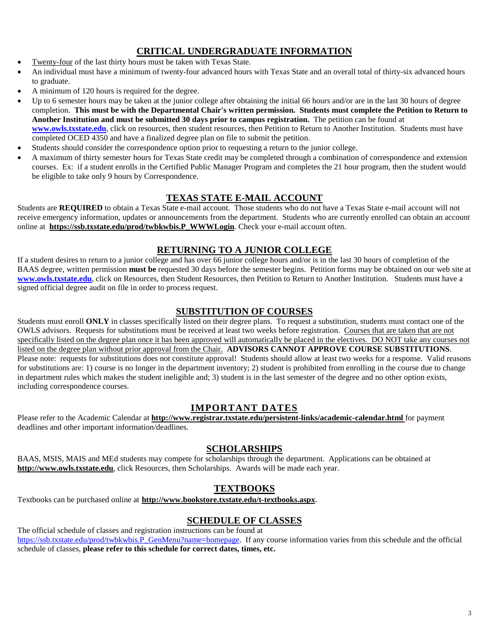#### **CRITICAL UNDERGRADUATE INFORMATION**

- Twenty-four of the last thirty hours must be taken with Texas State.
- An individual must have a minimum of twenty-four advanced hours with Texas State and an overall total of thirty-six advanced hours to graduate.
- A minimum of 120 hours is required for the degree.
- Up to 6 semester hours may be taken at the junior college after obtaining the initial 66 hours and/or are in the last 30 hours of degree completion. **This must be with the Departmental Chair's written permission. Students must complete the Petition to Return to Another Institution and must be submitted 30 days prior to campus registration.** The petition can be found at **[www.owls.txstate.edu](http://www.owls.txstate.edu/)**, click on resources, then student resources, then Petition to Return to Another Institution. Students must have completed OCED 4350 and have a finalized degree plan on file to submit the petition.
- Students should consider the correspondence option prior to requesting a return to the junior college.
- A maximum of thirty semester hours for Texas State credit may be completed through a combination of correspondence and extension courses. Ex: if a student enrolls in the Certified Public Manager Program and completes the 21 hour program, then the student would be eligible to take only 9 hours by Correspondence.

#### **TEXAS STATE E-MAIL ACCOUNT**

Students are REQUIRED to obtain a Texas State e-mail account. Those students who do not have a Texas State e-mail account will not receive emergency information, updates or announcements from the department. Students who are currently enrolled can obtain an account online at **[https://ssb.txstate.edu/prod/twbkwbis.P\\_WWWLogin](https://ssb.txstate.edu/prod/twbkwbis.P_WWWLogin)**. Check your e-mail account often.

#### **RETURNING TO A JUNIOR COLLEGE**

If a student desires to return to a junior college and has over 66 junior college hours and/or is in the last 30 hours of completion of the BAAS degree, written permission **must be** requested 30 days before the semester begins. Petition forms may be obtained on our web site at **[www.owls.txstate.edu](http://www.owls.txstate.edu/)**, click on Resources, then Student Resources, then Petition to Return to Another Institution. Students must have a signed official degree audit on file in order to process request.

#### **SUBSTITUTION OF COURSES**

Students must enroll **ONLY** in classes specifically listed on their degree plans. To request a substitution, students must contact one of the OWLS advisors. Requests for substitutions must be received at least two weeks before registration. Courses that are taken that are not specifically listed on the degree plan once it has been approved will automatically be placed in the electives. DO NOT take any courses not listed on the degree plan without prior approval from the Chair. **ADVISORS CANNOT APPROVE COURSE SUBSTITUTIONS**. Please note: requests for substitutions does not constitute approval! Students should allow at least two weeks for a response. Valid reasons for substitutions are: 1) course is no longer in the department inventory; 2) student is prohibited from enrolling in the course due to change in department rules which makes the student ineligible and; 3) student is in the last semester of the degree and no other option exists, including correspondence courses.

#### **IMPORTANT DATES**

Please refer to the Academic Calendar at **<http://www.registrar.txstate.edu/persistent-links/academic-calendar.html>** for payment deadlines and other important information/deadlines.

#### **SCHOLARSHIPS**

BAAS, MSIS, MAIS and MEd students may compete for scholarships through the department. Applications can be obtained at **[http://www.owls.txstate.edu](http://www.oced.txstate.edu/)**, click Resources, then Scholarships. Awards will be made each year.

#### **TEXTBOOKS**

Textbooks can be purchased online at **<http://www.bookstore.txstate.edu/t-textbooks.aspx>**.

#### **SCHEDULE OF CLASSES**

The official schedule of classes and registration instructions can be found at [https://ssb.txstate.edu/prod/twbkwbis.P\\_GenMenu?name=homepage.](https://ssb.txstate.edu/prod/twbkwbis.P_GenMenu?name=homepage) If any course information varies from this schedule and the official schedule of classes, **please refer to this schedule for correct dates, times, etc.**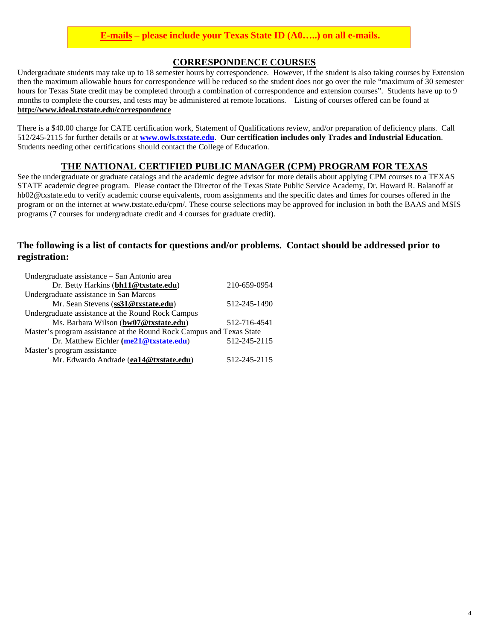#### **E-mails – please include your Texas State ID (A0…..) on all e-mails.**

#### **CORRESPONDENCE COURSES**

Undergraduate students may take up to 18 semester hours by correspondence. However, if the student is also taking courses by Extension then the maximum allowable hours for correspondence will be reduced so the student does not go over the rule "maximum of 30 semester hours for Texas State credit may be completed through a combination of correspondence and extension courses". Students have up to 9 months to complete the courses, and tests may be administered at remote locations. Listing of courses offered can be found at **<http://www.ideal.txstate.edu/correspondence>**

There is a \$40.00 charge for CATE certification work, Statement of Qualifications review, and/or preparation of deficiency plans. Call 512/245-2115 for further details or at **[www.owls.txstate.edu](http://www.owls.txstate.edu/)**. **Our certification includes only Trades and Industrial Education**. Students needing other certifications should contact the College of Education.

#### **THE NATIONAL CERTIFIED PUBLIC MANAGER (CPM) PROGRAM FOR TEXAS**

See the undergraduate or graduate catalogs and the academic degree advisor for more details about applying CPM courses to a TEXAS STATE academic degree program. Please contact the Director of the Texas State Public Service Academy, Dr. Howard R. Balanoff at hb02@txstate.edu to verify academic course equivalents, room assignments and the specific dates and times for courses offered in the program or on the internet at www.txstate.edu/cpm/. These course selections may be approved for inclusion in both the BAAS and MSIS programs (7 courses for undergraduate credit and 4 courses for graduate credit).

#### **The following is a list of contacts for questions and/or problems. Contact should be addressed prior to registration:**

| Undergraduate assistance - San Antonio area                          |              |
|----------------------------------------------------------------------|--------------|
| Dr. Betty Harkins (bh11@txstate.edu)                                 | 210-659-0954 |
| Undergraduate assistance in San Marcos                               |              |
| Mr. Sean Stevens (ss31@txstate.edu)                                  | 512-245-1490 |
| Undergraduate assistance at the Round Rock Campus                    |              |
| Ms. Barbara Wilson (bw07@txstate.edu)                                | 512-716-4541 |
| Master's program assistance at the Round Rock Campus and Texas State |              |
| Dr. Matthew Eichler (me21@txstate.edu)                               | 512-245-2115 |
| Master's program assistance                                          |              |
| Mr. Edwardo Andrade (ea14@txstate.edu)                               | 512-245-2115 |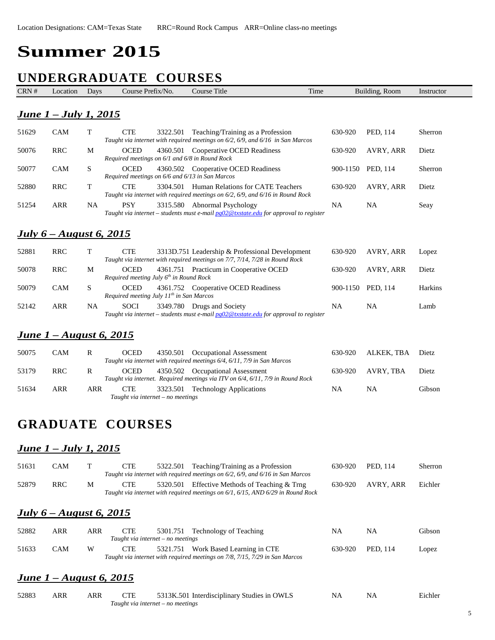# **Summer 2015**

# **UNDERGRADUATE COURSES**

| CRN # | Location                              | Days         | Course Prefix/No.                                                  | <b>Course Title</b><br>Time                                                                                                    |           | Building, Room | Instructor |
|-------|---------------------------------------|--------------|--------------------------------------------------------------------|--------------------------------------------------------------------------------------------------------------------------------|-----------|----------------|------------|
|       | <u><b>June 1 – July 1, 2015</b></u>   |              |                                                                    |                                                                                                                                |           |                |            |
| 51629 | CAM                                   | Т            | <b>CTE</b><br>3322.501                                             | Teaching/Training as a Profession<br>Taught via internet with required meetings on $6/2$ , $6/9$ , and $6/16$ in San Marcos    | 630-920   | PED, 114       | Sherron    |
| 50076 | <b>RRC</b>                            | M            | <b>OCED</b><br>Required meetings on 6/1 and 6/8 in Round Rock      | 4360.501 Cooperative OCED Readiness                                                                                            | 630-920   | AVRY, ARR      | Dietz      |
| 50077 | <b>CAM</b>                            | S            | <b>OCED</b><br>Required meetings on 6/6 and 6/13 in San Marcos     | 4360.502 Cooperative OCED Readiness                                                                                            | 900-1150  | PED, 114       | Sherron    |
| 52880 | <b>RRC</b>                            | T            | <b>CTE</b>                                                         | 3304.501 Human Relations for CATE Teachers<br>Taught via internet with required meetings on 6/2, 6/9, and 6/16 in Round Rock   | 630-920   | AVRY, ARR      | Dietz      |
| 51254 | <b>ARR</b>                            | <b>NA</b>    | <b>PSY</b>                                                         | 3315.580 Abnormal Psychology<br>Taught via internet – students must e-mail $pg02@txstate.edu$ for approval to register         | <b>NA</b> | <b>NA</b>      | Seay       |
|       | <u><b>July 6 – August 6, 2015</b></u> |              |                                                                    |                                                                                                                                |           |                |            |
| 52881 | <b>RRC</b>                            | T            | <b>CTE</b>                                                         | 3313D.751 Leadership & Professional Development<br>Taught via internet with required meetings on 7/7, 7/14, 7/28 in Round Rock | 630-920   | AVRY, ARR      | Lopez      |
| 50078 | <b>RRC</b>                            | M            | <b>OCED</b><br>Required meeting July 6 <sup>th</sup> in Round Rock | 4361.751 Practicum in Cooperative OCED                                                                                         | 630-920   | AVRY, ARR      | Dietz      |
| 50079 | <b>CAM</b>                            | S            | <b>OCED</b><br>Required meeting July $11^{th}$ in San Marcos       | 4361.752 Cooperative OCED Readiness                                                                                            | 900-1150  | PED, 114       | Harkins    |
| 52142 | <b>ARR</b>                            | <b>NA</b>    | <b>SOCI</b>                                                        | 3349.780 Drugs and Society<br>Taught via internet – students must e-mail $pg02@$ txstate edu for approval to register          | <b>NA</b> | <b>NA</b>      | Lamb       |
|       | <u><b>June 1 – August 6, 2015</b></u> |              |                                                                    |                                                                                                                                |           |                |            |
| 50075 | CAM                                   | $\mathbf{R}$ | <b>OCED</b><br>4350.501                                            | Occupational Assessment<br>Taught via internet with required meetings 6/4, 6/11, 7/9 in San Marcos                             | 630-920   | ALKEK, TBA     | Dietz      |
| 53179 | <b>RRC</b>                            | $\mathbb{R}$ | <b>OCED</b>                                                        | 4350.502 Occupational Assessment<br>Taught via internet. Required meetings via ITV on 6/4, 6/11, 7/9 in Round Rock             | 630-920   | AVRY, TBA      | Dietz      |
| 51634 | <b>ARR</b>                            | <b>ARR</b>   | <b>CTE</b><br>3323.501                                             | <b>Technology Applications</b>                                                                                                 | <b>NA</b> | <b>NA</b>      | Gibson     |

## **GRADUATE COURSES**

*Taught via internet – no meetings*

*Taught via internet – no meetings*

#### *June 1 – July 1, 2015*

| 51631 | <b>CAM</b>                     | Т          | <b>CTE</b> | 5322.501                                      | Teaching/Training as a Profession<br>Taught via internet with required meetings on $6/2$ , $6/9$ , and $6/16$ in San Marcos | 630-920 | PED, 114  | <b>Sherron</b> |
|-------|--------------------------------|------------|------------|-----------------------------------------------|-----------------------------------------------------------------------------------------------------------------------------|---------|-----------|----------------|
| 52879 | <b>RRC</b>                     | М          | <b>CTE</b> | 5320.501                                      | Effective Methods of Teaching & Trng<br>Taught via internet with required meetings on 6/1, 6/15, AND 6/29 in Round Rock     | 630-920 | AVRY, ARR | Eichler        |
|       | <b>July 6</b> – August 6, 2015 |            |            |                                               |                                                                                                                             |         |           |                |
| 52882 | <b>ARR</b>                     | <b>ARR</b> | <b>CTE</b> | 5301.751<br>Taught via internet – no meetings | Technology of Teaching                                                                                                      | NA      | NA        | Gibson         |
| 51633 | <b>CAM</b>                     | W          | <b>CTE</b> | 5321.751                                      | Work Based Learning in CTE<br>Taught via internet with required meetings on 7/8, 7/15, 7/29 in San Marcos                   | 630-920 | PED, 114  | Lopez          |
|       | <b>June 1-August 6, 2015</b>   |            |            |                                               |                                                                                                                             |         |           |                |
| 52883 | <b>ARR</b>                     | <b>ARR</b> | <b>CTE</b> |                                               | 5313K.501 Interdisciplinary Studies in OWLS                                                                                 | NA      | NA        | Eichler        |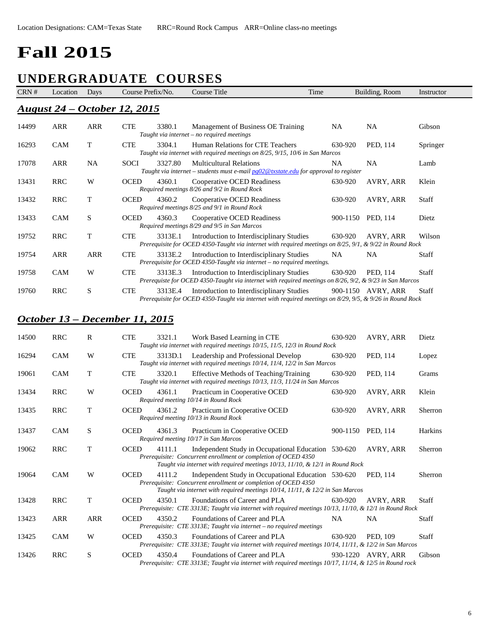# **Fall 2015**

## **UNDERGRADUATE COURSES**

| CRN # | Location   | Days | Course Prefix/No.                   |         | Course Title                                                                                                                                                 | Time |           | Building, Room     | Instructor   |
|-------|------------|------|-------------------------------------|---------|--------------------------------------------------------------------------------------------------------------------------------------------------------------|------|-----------|--------------------|--------------|
|       |            |      | <b>August 24 – October 12, 2015</b> |         |                                                                                                                                                              |      |           |                    |              |
| 14499 | ARR        | ARR  | <b>CTE</b>                          | 3380.1  | Management of Business OE Training<br>Taught via internet – no required meetings                                                                             |      | <b>NA</b> | <b>NA</b>          | Gibson       |
| 16293 | <b>CAM</b> | T    | <b>CTE</b>                          | 3304.1  | Human Relations for CTE Teachers<br>Taught via internet with required meetings on 8/25, 9/15, 10/6 in San Marcos                                             |      | 630-920   | PED, 114           | Springer     |
| 17078 | ARR        | NA   | <b>SOCI</b>                         | 3327.80 | <b>Multicultural Relations</b><br>Taught via internet – students must e-mail $pg02@$ txstate edu for approval to register                                    |      | <b>NA</b> | NA                 | Lamb         |
| 13431 | <b>RRC</b> | W    | <b>OCED</b>                         | 4360.1  | Cooperative OCED Readiness<br>Required meetings 8/26 and 9/2 in Round Rock                                                                                   |      | 630-920   | AVRY, ARR          | Klein        |
| 13432 | <b>RRC</b> | T    | <b>OCED</b>                         | 4360.2  | Cooperative OCED Readiness<br>Required meetings 8/25 and 9/1 in Round Rock                                                                                   |      | 630-920   | AVRY, ARR          | <b>Staff</b> |
| 13433 | <b>CAM</b> | S    | <b>OCED</b>                         | 4360.3  | Cooperative OCED Readiness<br>Required meetings 8/29 and 9/5 in San Marcos                                                                                   |      | 900-1150  | PED, 114           | Dietz        |
| 19752 | <b>RRC</b> | T    | <b>CTE</b>                          | 3313E.1 | Introduction to Interdisciplinary Studies<br>Prerequisite for OCED 4350-Taught via internet with required meetings on 8/25, 9/1, & 9/22 in Round Rock        |      | 630-920   | AVRY, ARR          | Wilson       |
| 19754 | ARR        | ARR  | <b>CTE</b>                          | 3313E.2 | Introduction to Interdisciplinary Studies<br>Prerequisite for OCED 4350-Taught via internet $-$ no required meetings.                                        |      | <b>NA</b> | NA                 | Staff        |
| 19758 | <b>CAM</b> | W    | <b>CTE</b>                          | 3313E.3 | Introduction to Interdisciplinary Studies<br>Prerequiste for OCED 4350-Taught via internet with required meetings on $8/26$ , $9/2$ , & $9/23$ in San Marcos |      | 630-920   | PED, 114           | <b>Staff</b> |
| 19760 | <b>RRC</b> | S    | <b>CTE</b>                          | 3313E.4 | Introduction to Interdisciplinary Studies<br>Prerequisite for OCED 4350-Taught via internet with required meetings on 8/29, 9/5, & 9/26 in Round Rock        |      |           | 900-1150 AVRY, ARR | Staff        |

#### *October 13 – December 11, 2015*

| 14500 | <b>RRC</b> | R          | <b>CTE</b>  | 3321.1  | Work Based Learning in CTE<br>Taught via internet with required meetings 10/15, 11/5, 12/3 in Round Rock                                                                                                       | 630-920   | AVRY, ARR          | Dietz        |
|-------|------------|------------|-------------|---------|----------------------------------------------------------------------------------------------------------------------------------------------------------------------------------------------------------------|-----------|--------------------|--------------|
| 16294 | <b>CAM</b> | W          | <b>CTE</b>  | 3313D.1 | Leadership and Professional Develop<br>Taught via internet with required meetings 10/14, 11/4, 12/2 in San Marcos                                                                                              | 630-920   | PED, 114           | Lopez        |
| 19061 | <b>CAM</b> | T          | <b>CTE</b>  | 3320.1  | <b>Effective Methods of Teaching/Training</b><br>Taught via internet with required meetings 10/13, 11/3, 11/24 in San Marcos                                                                                   | 630-920   | PED, 114           | Grams        |
| 13434 | <b>RRC</b> | W          | <b>OCED</b> | 4361.1  | Practicum in Cooperative OCED<br>Required meeting 10/14 in Round Rock                                                                                                                                          | 630-920   | AVRY, ARR          | Klein        |
| 13435 | <b>RRC</b> | T          | <b>OCED</b> | 4361.2  | Practicum in Cooperative OCED<br>Required meeting 10/13 in Round Rock                                                                                                                                          | 630-920   | AVRY, ARR          | Sherron      |
| 13437 | <b>CAM</b> | S          | <b>OCED</b> | 4361.3  | Practicum in Cooperative OCED<br>Required meeting 10/17 in San Marcos                                                                                                                                          |           | 900-1150 PED, 114  | Harkins      |
| 19062 | <b>RRC</b> | T          | <b>OCED</b> | 4111.1  | Independent Study in Occupational Education 530-620<br>Prerequisite: Concurrent enrollment or completion of OCED 4350<br>Taught via internet with required meetings 10/13, 11/10, & 12/1 in Round Rock         |           | AVRY, ARR          | Sherron      |
| 19064 | <b>CAM</b> | W          | <b>OCED</b> | 4111.2  | Independent Study in Occupational Education 530-620<br>Prerequisite: Concurrent enrollment or completion of OCED 4350<br>Taught via internet with required meetings $10/14$ , $11/11$ , & $12/2$ in San Marcos |           | PED, 114           | Sherron      |
| 13428 | <b>RRC</b> | T          | <b>OCED</b> | 4350.1  | Foundations of Career and PLA<br>Prerequisite: CTE 3313E; Taught via internet with required meetings 10/13, 11/10, & 12/1 in Round Rock                                                                        | 630-920   | AVRY, ARR          | <b>Staff</b> |
| 13423 | <b>ARR</b> | <b>ARR</b> | <b>OCED</b> | 4350.2  | Foundations of Career and PLA<br>Prerequisite: CTE 3313E; Taught via internet - no required meetings                                                                                                           | <b>NA</b> | <b>NA</b>          | <b>Staff</b> |
| 13425 | <b>CAM</b> | W          | <b>OCED</b> | 4350.3  | Foundations of Career and PLA<br>Prerequisite: CTE 3313E; Taught via internet with required meetings 10/14, 11/11, & 12/2 in San Marcos                                                                        | 630-920   | PED, 109           | Staff        |
| 13426 | <b>RRC</b> | S          | <b>OCED</b> | 4350.4  | Foundations of Career and PLA<br>Prerequisite: CTE 3313E; Taught via internet with required meetings 10/17, 11/14, & 12/5 in Round rock                                                                        |           | 930-1220 AVRY. ARR | Gibson       |